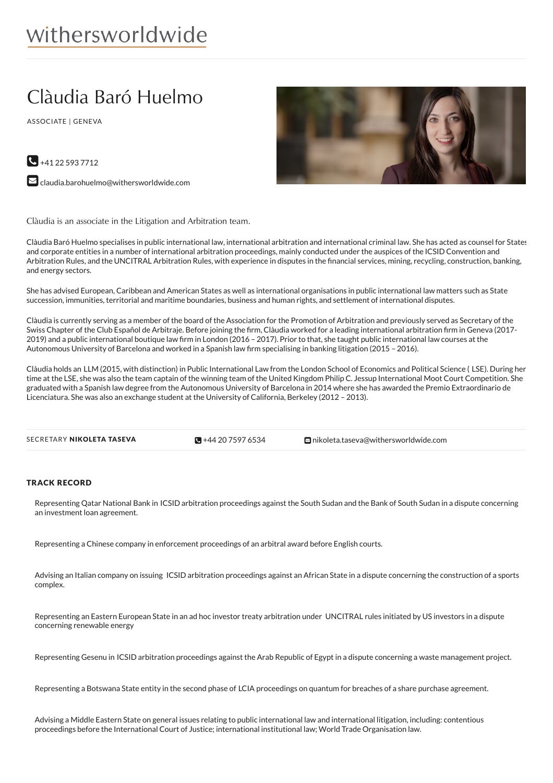# Clàudia Baró Huelmo

ASSOCIATE | GENEVA





 $\blacktriangleright$  [claudia.barohuelmo@withersworldwide.com](mailto:claudia.barohuelmo@withersworldwide.com?subject=Website Enquiry - Profile Page)

Clàudia is an associate in the Litigation and Arbitration team.

Clàudia Baró Huelmo specialises in public international law, international arbitration and international criminal law. She has acted as counsel for States and corporate entities in a number of international arbitration proceedings, mainly conducted under the auspices of the ICSID Convention and Arbitration Rules, and the UNCITRAL Arbitration Rules, with experience in disputes in the financial services, mining, recycling, construction, banking, and energy sectors.

She has advised European, Caribbean and American States as well as international organisations in public international law matters such as State succession, immunities, territorial and maritime boundaries, business and human rights, and settlement of international disputes.

Clàudia is currently serving as a member of the board of the Association for the Promotion of Arbitration and previously served as Secretary of the Swiss Chapter of the Club Español de Arbitraje. Before joining the firm, Clàudia worked for a leading international arbitration firm in Geneva (2017-2019) and a public international boutique law firm in London (2016 - 2017). Prior to that, she taught public international law courses at the Autonomous University of Barcelona and worked in a Spanish law firm specialising in banking litigation (2015 - 2016).

Clàudia holds an LLM (2015, with distinction) in Public International Law from the London School of Economics and Political Science ( LSE). During her time at the LSE, she was also the team captain of the winning team of the United Kingdom Philip C. Jessup International Moot Court Competition. She graduated with a Spanish law degree from the Autonomous University of Barcelona in 2014 where she has awarded the Premio Extraordinario de Licenciatura. She was also an exchange student at the University of California, Berkeley (2012 – 2013).



## TRACK RECORD

Representing Qatar National Bank in ICSID arbitration proceedings against the South Sudan and the Bank of South Sudan in a dispute concerning an investment loan agreement.

Representing a Chinese company in enforcement proceedings of an arbitral award before English courts.

Advising an Italian company on issuing ICSID arbitration proceedings against an African State in a dispute concerning the construction of a sports complex.

Representing an Eastern European State in an ad hoc investor treaty arbitration under UNCITRAL rules initiated by US investors in a dispute concerning renewable energy

Representing Gesenu in ICSID arbitration proceedings against the Arab Republic of Egypt in a dispute concerning a waste management project.

Representing a Botswana State entity in the second phase of LCIA proceedings on quantum for breaches of a share purchase agreement.

Advising a Middle Eastern State on general issues relating to public international law and international litigation, including: contentious proceedings before the International Court of Justice; international institutional law; World Trade Organisation law.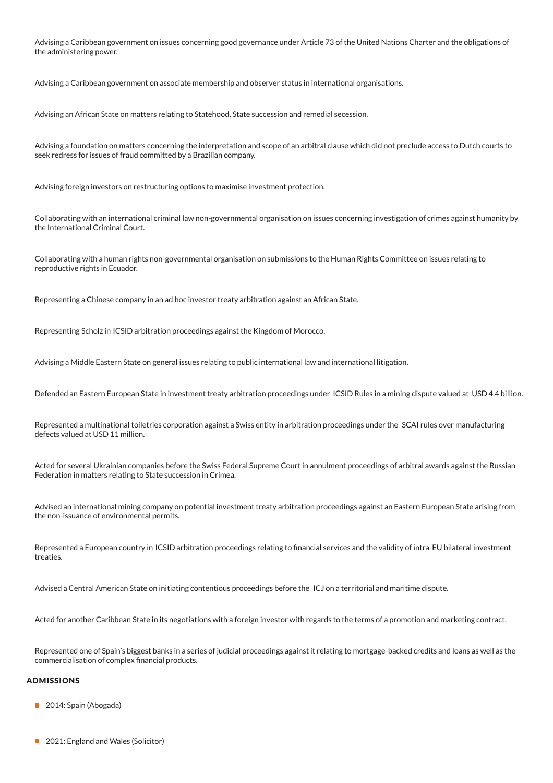Advising a Caribbean government on issues concerning good governance under Article 73 of the United Nations Charter and the obligations of the administering power.

Advising a Caribbean government on associate membership and observer status in international organisations.

Advising an African State on matters relating to Statehood, State succession and remedial secession.

Advising a foundation on matters concerning the interpretation and scope of an arbitral clause which did not preclude access to Dutch courts to seek redress for issues of fraud committed by a Brazilian company.

Advising foreign investors on restructuring options to maximise investment protection.

Collaborating with an international criminal law non-governmental organisation on issues concerning investigation of crimes against humanity by the International Criminal Court.

Collaborating with a human rights non-governmental organisation on submissions to the Human Rights Committee on issues relating to reproductive rights in Ecuador.

Representing a Chinese company in an ad hoc investor treaty arbitration against an African State.

Representing Scholz in ICSID arbitration proceedings against the Kingdom of Morocco.

Advising a Middle Eastern State on general issues relating to public international law and international litigation.

Defended an Eastern European State in investment treaty arbitration proceedings under ICSID Rules in a mining dispute valued at USD 4.4 billion.

Represented a multinational toiletries corporation against a Swiss entity in arbitration proceedings under the SCAI rules over manufacturing defects valued at USD 11 million.

Acted for several Ukrainian companies before the Swiss Federal Supreme Court in annulment proceedings of arbitral awards against the Russian Federation in matters relating to State succession in Crimea.

Advised an international mining company on potential investment treaty arbitration proceedings against an Eastern European State arising from the non-issuance of environmental permits.

Represented a European country in ICSID arbitration proceedings relating to financial services and the validity of intra-EU bilateral investment treaties.

Advised a Central American State on initiating contentious proceedings before the ICJ on a territorial and maritime dispute.

Acted for another Caribbean State in its negotiations with a foreign investor with regards to the terms of a promotion and marketing contract.

Represented one of Spain's biggest banks in a series of judicial proceedings against it relating to mortgage-backed credits and loans as well as the commercialisation of complex financial products.

#### **ADMISSIONS**

- 2014: Spain (Abogada)
- 2021: England and Wales (Solicitor)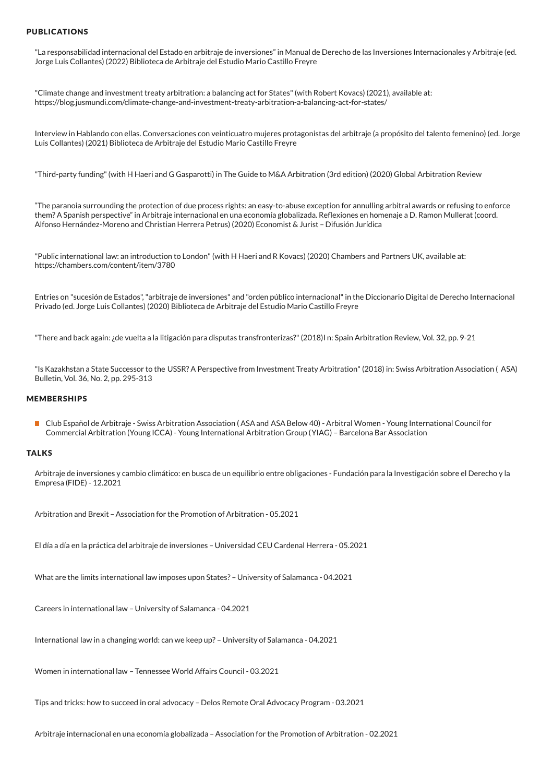### PUBLICATIONS

"La responsabilidad internacional del Estado en arbitraje de inversiones" in Manual de Derecho de las Inversiones Internacionales y Arbitraje (ed. Jorge Luis Collantes) (2022) Biblioteca de Arbitraje del Estudio Mario Castillo Freyre

"Climate change and investment treaty arbitration: a balancing act for States"(with Robert Kovacs) (2021), available at: https://blog.jusmundi.com/climate-change-and-investment-treaty-arbitration-a-balancing-act-for-states/

Interview in Hablando con ellas. Conversaciones con veinticuatro mujeres protagonistas del arbitraje (a propósito del talento femenino) (ed. Jorge Luis Collantes) (2021) Biblioteca de Arbitraje del Estudio Mario Castillo Freyre

"Third-party funding"(with H Haeri and G Gasparotti) in The Guide to M&A Arbitration (3rd edition) (2020) Global Arbitration Review

"The paranoia surrounding the protection of due process rights: an easy-to-abuse exception for annulling arbitral awards or refusing to enforce them? A Spanish perspective" in Arbitraje internacional en una economía globalizada. ReTexiones en homenaje a D. Ramon Mullerat (coord. Alfonso Hernández-Moreno and Christian Herrera Petrus) (2020) Economist & Jurist – Difusión Jurídica

"Public international law: an introduction to London"(with H Haeri and R Kovacs) (2020) Chambers and Partners UK, available at: https://chambers.com/content/item/3780

Entries on "sucesión de Estados","arbitraje de inversiones" and "orden público internacional"in the Diccionario Digital de Derecho Internacional Privado (ed. Jorge Luis Collantes) (2020) Biblioteca de Arbitraje del Estudio Mario Castillo Freyre

"There and back again:¿de vuelta a la litigación para disputas transfronterizas?"(2018)I n: Spain Arbitration Review, Vol. 32, pp. 9-21

"Is Kazakhstan a State Successor to the USSR? A Perspective from Investment Treaty Arbitration"(2018) in: Swiss Arbitration Association ( ASA) Bulletin, Vol. 36, No. 2, pp. 295-313

#### MEMBERSHIPS

■ Club Español de Arbitraie - Swiss Arbitration Association (ASA and ASA Below 40) - Arbitral Women - Young International Council for Commercial Arbitration (Young ICCA) - Young International Arbitration Group (YIAG) – Barcelona Bar Association

#### **TALKS**

Arbitraje de inversiones y cambio climático: en busca de un equilibrio entre obligaciones - Fundación para la Investigación sobre el Derecho y la Empresa (FIDE) - 12.2021

Arbitration and Brexit –Association for the Promotion of Arbitration - 05.2021

El día a día en la práctica del arbitraje de inversiones – Universidad CEU Cardenal Herrera - 05.2021

What are the limits international law imposes upon States? – University of Salamanca - 04.2021

Careers in international law – University of Salamanca - 04.2021

International law in a changing world: can we keep up? – University of Salamanca - 04.2021

Women in international law – Tennessee World Affairs Council - 03.2021

Tips and tricks: how to succeed in oral advocacy – Delos Remote Oral Advocacy Program - 03.2021

Arbitraje internacional en una economía globalizada –Association for the Promotion of Arbitration - 02.2021